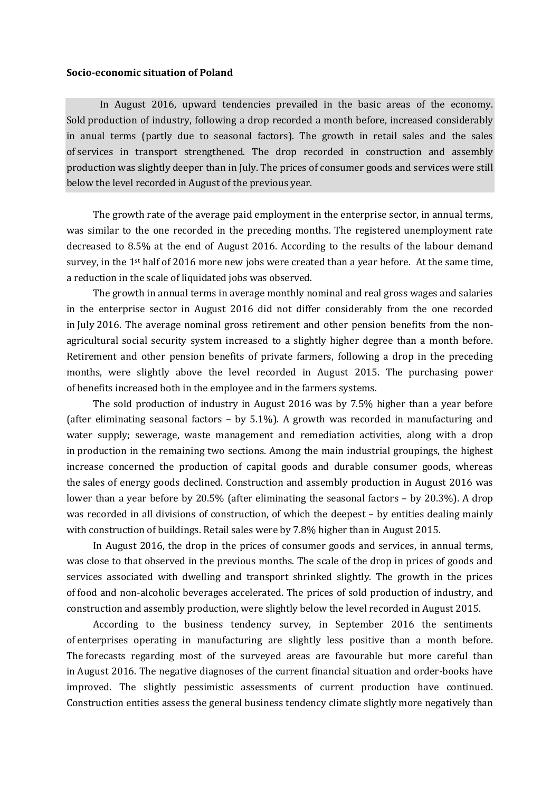## **Socio-economic situation of Poland**

In August 2016, upward tendencies prevailed in the basic areas of the economy. Sold production of industry, following a drop recorded a month before, increased considerably in anual terms (partly due to seasonal factors). The growth in retail sales and the sales of services in transport strengthened. The drop recorded in construction and assembly production was slightly deeper than in July. The prices of consumer goods and services were still below the level recorded in August of the previous year.

The growth rate of the average paid employment in the enterprise sector, in annual terms, was similar to the one recorded in the preceding months. The registered unemployment rate decreased to 8.5% at the end of August 2016. According to the results of the labour demand survey, in the 1<sup>st</sup> half of 2016 more new jobs were created than a year before. At the same time, a reduction in the scale of liquidated jobs was observed.

The growth in annual terms in average monthly nominal and real gross wages and salaries in the enterprise sector in August 2016 did not differ considerably from the one recorded in July 2016. The average nominal gross retirement and other pension benefits from the nonagricultural social security system increased to a slightly higher degree than a month before. Retirement and other pension benefits of private farmers, following a drop in the preceding months, were slightly above the level recorded in August 2015. The purchasing power of benefits increased both in the employee and in the farmers systems.

The sold production of industry in August 2016 was by 7.5% higher than a year before (after eliminating seasonal factors – by 5.1%). A growth was recorded in manufacturing and water supply; sewerage, waste management and remediation activities, along with a drop in production in the remaining two sections. Among the main industrial groupings, the highest increase concerned the production of capital goods and durable consumer goods, whereas the sales of energy goods declined. Construction and assembly production in August 2016 was lower than a year before by 20.5% (after eliminating the seasonal factors – by 20.3%). A drop was recorded in all divisions of construction, of which the deepest – by entities dealing mainly with construction of buildings. Retail sales were by 7.8% higher than in August 2015.

In August 2016, the drop in the prices of consumer goods and services, in annual terms, was close to that observed in the previous months. The scale of the drop in prices of goods and services associated with dwelling and transport shrinked slightly. The growth in the prices of food and non-alcoholic beverages accelerated. The prices of sold production of industry, and construction and assembly production, were slightly below the level recorded in August 2015.

According to the business tendency survey, in September 2016 the sentiments of enterprises operating in manufacturing are slightly less positive than a month before. The forecasts regarding most of the surveyed areas are favourable but more careful than in August 2016. The negative diagnoses of the current financial situation and order-books have improved. The slightly pessimistic assessments of current production have continued. Construction entities assess the general business tendency climate slightly more negatively than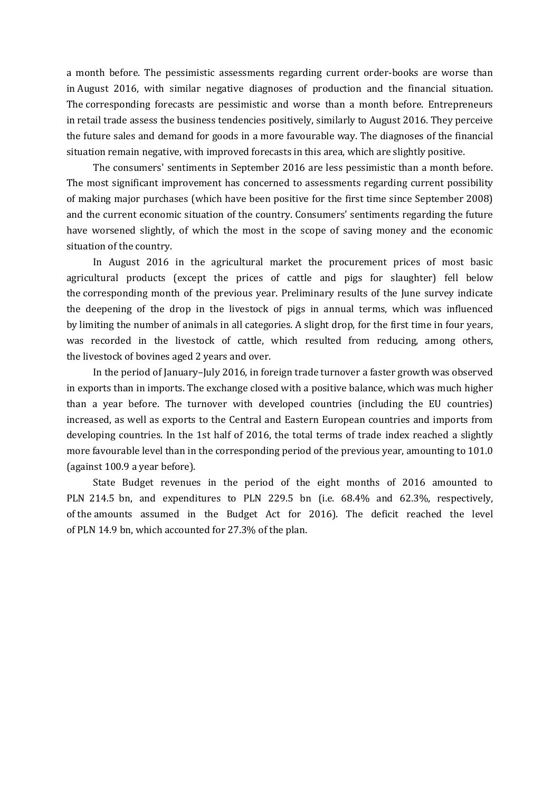a month before. The pessimistic assessments regarding current order-books are worse than in August 2016, with similar negative diagnoses of production and the financial situation. The corresponding forecasts are pessimistic and worse than a month before. Entrepreneurs in retail trade assess the business tendencies positively, similarly to August 2016. They perceive the future sales and demand for goods in a more favourable way. The diagnoses of the financial situation remain negative, with improved forecasts in this area, which are slightly positive.

The consumers' sentiments in September 2016 are less pessimistic than a month before. The most significant improvement has concerned to assessments regarding current possibility of making major purchases (which have been positive for the first time since September 2008) and the current economic situation of the country. Consumers' sentiments regarding the future have worsened slightly, of which the most in the scope of saving money and the economic situation of the country.

In August 2016 in the agricultural market the procurement prices of most basic agricultural products (except the prices of cattle and pigs for slaughter) fell below the corresponding month of the previous year. Preliminary results of the June survey indicate the deepening of the drop in the livestock of pigs in annual terms, which was influenced by limiting the number of animals in all categories. A slight drop, for the first time in four years, was recorded in the livestock of cattle, which resulted from reducing, among others, the livestock of bovines aged 2 years and over.

In the period of January–July 2016, in foreign trade turnover a faster growth was observed in exports than in imports. The exchange closed with a positive balance, which was much higher than a year before. The turnover with developed countries (including the EU countries) increased, as well as exports to the Central and Eastern European countries and imports from developing countries. In the 1st half of 2016, the total terms of trade index reached a slightly more favourable level than in the corresponding period of the previous year, amounting to 101.0 (against 100.9 a year before).

State Budget revenues in the period of the eight months of 2016 amounted to PLN 214.5 bn, and expenditures to PLN 229.5 bn (i.e. 68.4% and 62.3%, respectively, of the amounts assumed in the Budget Act for 2016). The deficit reached the level of PLN 14.9 bn, which accounted for 27.3% of the plan.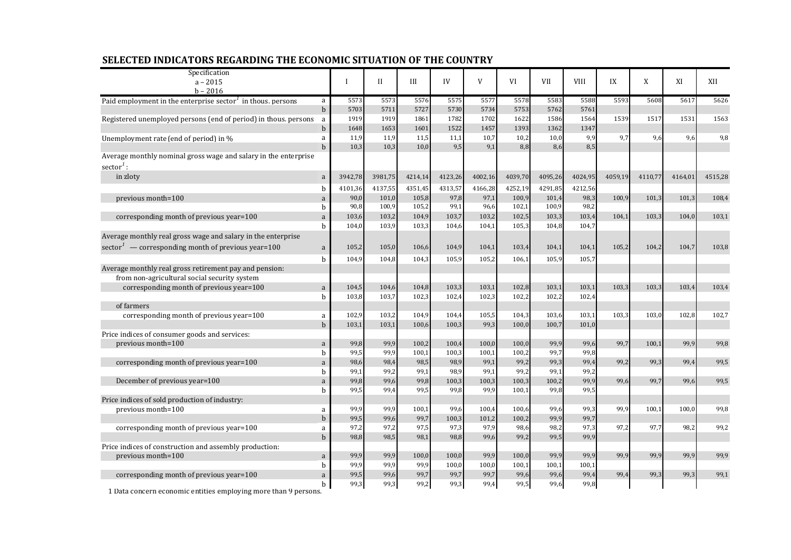| Specification                                                           |                   |              |              |               |                |               |                |               |               |         |         |         |         |
|-------------------------------------------------------------------------|-------------------|--------------|--------------|---------------|----------------|---------------|----------------|---------------|---------------|---------|---------|---------|---------|
| $a - 2015$                                                              |                   | I            | Н            | III           | IV             | V             | VI             | <b>VII</b>    | <b>VIII</b>   | IX      | X       | XI      | XII     |
| $b - 2016$                                                              |                   |              |              |               |                |               |                |               |               |         |         |         |         |
| Paid employment in the enterprise sector <sup>1</sup> in thous. persons | a<br>$\mathbf b$  | 5573<br>5703 | 5573<br>5711 | 5576<br>5727  | 5575<br>5730   | 5577<br>5734  | 5578<br>5753   | 5583<br>5762  | 5588<br>5761  | 5593    | 5608    | 5617    | 5626    |
| Registered unemployed persons (end of period) in thous. persons         |                   | 1919         | 1919         | 1861          | 1782           | 1702          | 1622           | 1586          | 1564          | 1539    | 1517    | 1531    | 1563    |
|                                                                         | a<br>$b$          | 1648         | 1653         | 1601          | 1522           | 1457          | 1393           | 1362          | 1347          |         |         |         |         |
| Unemployment rate (end of period) in %                                  | a                 | 11,9         | 11,9         | 11,5          | 11,1           | 10,7          | 10,2           | 10,0          | 9,9           | 9,7     | 9,6     | 9,6     | 9,8     |
|                                                                         | $b$               | 10.3         | 10.3         | 10.0          | 9,5            | 9,1           | 8,8            | 8,6           | 8,5           |         |         |         |         |
| Average monthly nominal gross wage and salary in the enterprise         |                   |              |              |               |                |               |                |               |               |         |         |         |         |
| $sector1$ :                                                             |                   |              |              |               |                |               |                |               |               |         |         |         |         |
| in zloty                                                                | a                 | 3942,78      | 3981,75      | 4214,14       | 4123,26        | 4002,16       | 4039,70        | 4095,26       | 4024,95       | 4059,19 | 4110,77 | 4164,01 | 4515,28 |
|                                                                         |                   | 4101,36      | 4137,55      | 4351,45       | 4313,57        | 4166,28       | 4252,19        | 4291,85       | 4212,56       |         |         |         |         |
| previous month=100                                                      | b                 | 90,0         | 101,0        | 105,8         | 97,8           | 97,1          | 100,9          | 101,4         | 98,3          | 100,9   | 101,3   | 101,3   | 108,4   |
|                                                                         | a<br>b            | 90,8         | 100,9        | 105,2         | 99,1           | 96,6          | 102,1          | 100,9         | 98,2          |         |         |         |         |
| corresponding month of previous year=100                                | a                 | 103,6        | 103,2        | 104,9         | 103,7          | 103,2         | 102,5          | 103,3         | 103,4         | 104.1   | 103.3   | 104.0   | 103,1   |
|                                                                         | b                 | 104,0        | 103,9        | 103,3         | 104,6          | 104,1         | 105,3          | 104,8         | 104,7         |         |         |         |         |
| Average monthly real gross wage and salary in the enterprise            |                   |              |              |               |                |               |                |               |               |         |         |         |         |
| sector <sup>1</sup> — corresponding month of previous year=100          | $\mathbf{a}$      | 105,2        | 105,0        | 106,6         | 104,9          | 104,1         | 103,4          | 104,1         | 104,1         | 105,2   | 104,2   | 104,7   | 103,8   |
|                                                                         |                   |              |              |               |                |               |                |               |               |         |         |         |         |
|                                                                         | $\mathbf b$       | 104,9        | 104,8        | 104,3         | 105,9          | 105,2         | 106,1          | 105,9         | 105,7         |         |         |         |         |
| Average monthly real gross retirement pay and pension:                  |                   |              |              |               |                |               |                |               |               |         |         |         |         |
| from non-agricultural social security system                            |                   | 104,5        | 104,6        | 104,8         | 103,3          | 103,1         | 102,8          | 103,1         | 103,1         | 103,3   | 103,3   | 103,4   | 103,4   |
| corresponding month of previous year=100                                | $\mathbf{a}$<br>b | 103,8        | 103,7        | 102,3         | 102,4          | 102,3         | 102,2          | 102,2         | 102,4         |         |         |         |         |
| of farmers                                                              |                   |              |              |               |                |               |                |               |               |         |         |         |         |
| corresponding month of previous year=100                                | a                 | 102,9        | 103,2        | 104,9         | 104,4          | 105,5         | 104,3          | 103,6         | 103,1         | 103.3   | 103.0   | 102.8   | 102.7   |
|                                                                         | $\mathbf b$       | 103,1        | 103,1        | 100,6         | 100,3          | 99,3          | 100,0          | 100,7         | 101,0         |         |         |         |         |
| Price indices of consumer goods and services:                           |                   |              |              |               |                |               |                |               |               |         |         |         |         |
| previous month=100                                                      | $\mathbf a$       | 99,8         | 99,9         | 100,2         | 100,4          | 100,0         | 100,0          | 99,9          | 99,6          | 99,7    | 100,1   | 99,9    | 99,8    |
|                                                                         | b                 | 99,5         | 99,9         | 100,1         | 100,3          | 100,1         | 100,2          | 99,7          | 99,8          |         |         |         |         |
| corresponding month of previous year=100                                | a                 | 98,6         | 98,4         | 98,5          | 98,9           | 99,1          | 99,2           | 99,3          | 99,4          | 99,2    | 99.3    | 99.4    | 99,5    |
|                                                                         | b                 | 99,1         | 99,2         | 99,1          | 98,9           | 99,1          | 99,2           | 99,1          | 99,2          |         |         |         |         |
| December of previous year=100                                           | a                 | 99,8         | 99,6         | 99,8          | 100,3          | 100,3         | 100,3          | 100,2         | 99,9          | 99,6    | 99.7    | 99.6    | 99,5    |
|                                                                         | b                 | 99,5         | 99,4         | 99,5          | 99,8           | 99,9          | 100,1          | 99,8          | 99,5          |         |         |         |         |
| Price indices of sold production of industry:                           |                   |              |              |               |                |               |                |               |               |         |         |         |         |
| previous month=100                                                      | a                 | 99,9         | 99,9         | 100,1         | 99,6           | 100,4         | 100,6          | 99,6          | 99,3          | 99,9    | 100,1   | 100,0   | 99,8    |
|                                                                         | $b$               | 99,5         | 99,6         | 99,7          | 100,3          | 101,2         | 100,2          | 99,9          | 99,7          |         |         |         |         |
| corresponding month of previous year=100                                | a                 | 97,2         | 97,2         | 97,5          | 97,3           | 97,9          | 98,6           | 98,2          | 97,3          | 97,2    | 97,7    | 98,2    | 99,2    |
|                                                                         | $\mathbf b$       | 98,8         | 98,5         | 98,1          | 98,8           | 99,6          | 99,2           | 99,5          | 99,9          |         |         |         |         |
| Price indices of construction and assembly production:                  |                   |              |              |               |                |               |                |               |               |         |         |         |         |
| previous month=100                                                      | a<br>b            | 99,9<br>99,9 | 99,9<br>99,9 | 100,0<br>99,9 | 100,0<br>100,0 | 99,9<br>100,0 | 100,0<br>100,1 | 99,9<br>100,1 | 99,9<br>100,1 | 99,9    | 99.9    | 99.9    | 99.9    |
| corresponding month of previous year=100                                | a                 | 99,5         | 99,6         | 99,7          | 99,7           | 99,7          | 99,6           | 99,6          | 99,4          | 99,4    | 99,3    | 99,3    | 99.1    |
|                                                                         | $\mathbf b$       | 99,3         | 99,3         | 99,2          | 99,3           | 99,4          | 99,5           | 99,6          | 99,8          |         |         |         |         |
|                                                                         |                   |              |              |               |                |               |                |               |               |         |         |         |         |

## **SELECTED INDICATORS REGARDING THE ECONOMIC SITUATION OF THE COUNTRY**

1 Data concern economic entities employing more than 9 persons.